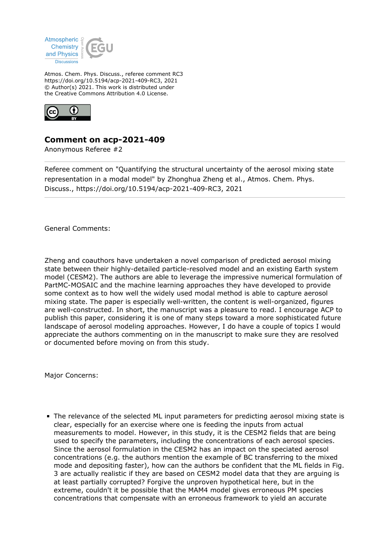

Atmos. Chem. Phys. Discuss., referee comment RC3 https://doi.org/10.5194/acp-2021-409-RC3, 2021 © Author(s) 2021. This work is distributed under the Creative Commons Attribution 4.0 License.



## **Comment on acp-2021-409**

Anonymous Referee #2

Referee comment on "Quantifying the structural uncertainty of the aerosol mixing state representation in a modal model" by Zhonghua Zheng et al., Atmos. Chem. Phys. Discuss., https://doi.org/10.5194/acp-2021-409-RC3, 2021

General Comments:

Zheng and coauthors have undertaken a novel comparison of predicted aerosol mixing state between their highly-detailed particle-resolved model and an existing Earth system model (CESM2). The authors are able to leverage the impressive numerical formulation of PartMC-MOSAIC and the machine learning approaches they have developed to provide some context as to how well the widely used modal method is able to capture aerosol mixing state. The paper is especially well-written, the content is well-organized, figures are well-constructed. In short, the manuscript was a pleasure to read. I encourage ACP to publish this paper, considering it is one of many steps toward a more sophisticated future landscape of aerosol modeling approaches. However, I do have a couple of topics I would appreciate the authors commenting on in the manuscript to make sure they are resolved or documented before moving on from this study.

Major Concerns:

The relevance of the selected ML input parameters for predicting aerosol mixing state is clear, especially for an exercise where one is feeding the inputs from actual measurements to model. However, in this study, it is the CESM2 fields that are being used to specify the parameters, including the concentrations of each aerosol species. Since the aerosol formulation in the CESM2 has an impact on the speciated aerosol concentrations (e.g. the authors mention the example of BC transferring to the mixed mode and depositing faster), how can the authors be confident that the ML fields in Fig. 3 are actually realistic if they are based on CESM2 model data that they are arguing is at least partially corrupted? Forgive the unproven hypothetical here, but in the extreme, couldn't it be possible that the MAM4 model gives erroneous PM species concentrations that compensate with an erroneous framework to yield an accurate